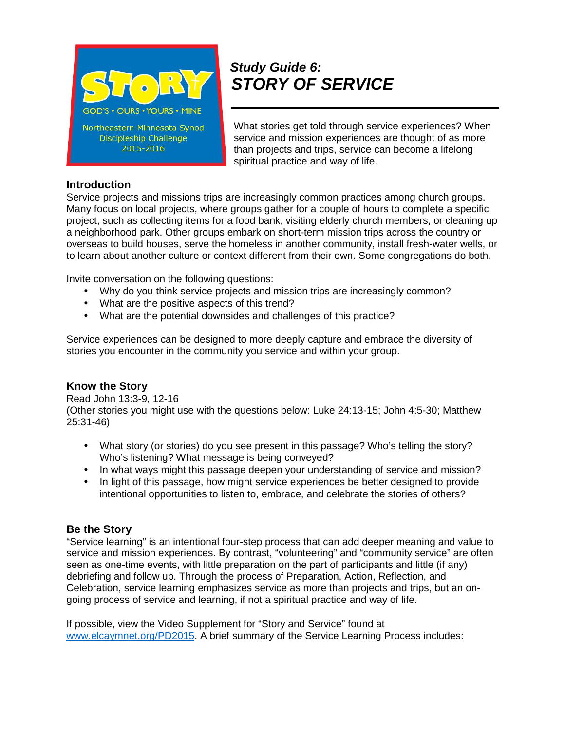

# *Study Guide 6: STORY OF SERVICE*

What stories get told through service experiences? When service and mission experiences are thought of as more than projects and trips, service can become a lifelong spiritual practice and way of life.

# **Introduction**

Service projects and missions trips are increasingly common practices among church groups. Many focus on local projects, where groups gather for a couple of hours to complete a specific project, such as collecting items for a food bank, visiting elderly church members, or cleaning up a neighborhood park. Other groups embark on short-term mission trips across the country or overseas to build houses, serve the homeless in another community, install fresh-water wells, or to learn about another culture or context different from their own. Some congregations do both.

Invite conversation on the following questions:

- Why do you think service projects and mission trips are increasingly common?
- What are the positive aspects of this trend?
- What are the potential downsides and challenges of this practice?

Service experiences can be designed to more deeply capture and embrace the diversity of stories you encounter in the community you service and within your group.

# **Know the Story**

Read John 13:3-9, 12-16 (Other stories you might use with the questions below: Luke 24:13-15; John 4:5-30; Matthew 25:31-46)

- What story (or stories) do you see present in this passage? Who's telling the story? Who's listening? What message is being conveyed?
- In what ways might this passage deepen your understanding of service and mission?
- In light of this passage, how might service experiences be better designed to provide intentional opportunities to listen to, embrace, and celebrate the stories of others?

# **Be the Story**

"Service learning" is an intentional four-step process that can add deeper meaning and value to service and mission experiences. By contrast, "volunteering" and "community service" are often seen as one-time events, with little preparation on the part of participants and little (if any) debriefing and follow up. Through the process of Preparation, Action, Reflection, and Celebration, service learning emphasizes service as more than projects and trips, but an on going process of service and learning, if not a spiritual practice and way of life.

If possible, view the Video Supplement for "Story and Service" found at www.elcaymnet.org/PD2015. A brief summary of the Service Learning Process includes: